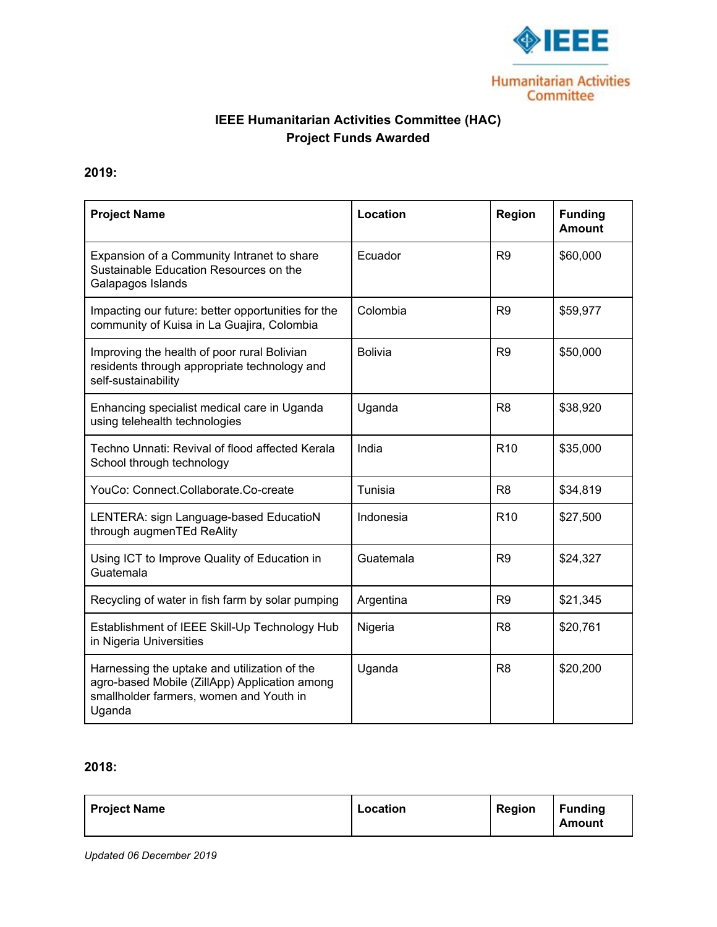

# **IEEE Humanitarian Activities Committee (HAC) Project Funds Awarded**

#### **2019:**

| <b>Project Name</b>                                                                                                                                | <b>Location</b> | Region          | <b>Funding</b><br><b>Amount</b> |
|----------------------------------------------------------------------------------------------------------------------------------------------------|-----------------|-----------------|---------------------------------|
| Expansion of a Community Intranet to share<br>Sustainable Education Resources on the<br>Galapagos Islands                                          | Ecuador         | R <sub>9</sub>  | \$60,000                        |
| Impacting our future: better opportunities for the<br>community of Kuisa in La Guajira, Colombia                                                   | Colombia        | R <sub>9</sub>  | \$59,977                        |
| Improving the health of poor rural Bolivian<br>residents through appropriate technology and<br>self-sustainability                                 | <b>Bolivia</b>  | R <sub>9</sub>  | \$50,000                        |
| Enhancing specialist medical care in Uganda<br>using telehealth technologies                                                                       | Uganda          | R <sub>8</sub>  | \$38,920                        |
| Techno Unnati: Revival of flood affected Kerala<br>School through technology                                                                       | India           | R <sub>10</sub> | \$35,000                        |
| YouCo: Connect.Collaborate.Co-create                                                                                                               | Tunisia         | R <sub>8</sub>  | \$34,819                        |
| LENTERA: sign Language-based EducatioN<br>through augmenTEd ReAlity                                                                                | Indonesia       | R <sub>10</sub> | \$27,500                        |
| Using ICT to Improve Quality of Education in<br>Guatemala                                                                                          | Guatemala       | R <sub>9</sub>  | \$24,327                        |
| Recycling of water in fish farm by solar pumping                                                                                                   | Argentina       | R <sub>9</sub>  | \$21,345                        |
| Establishment of IEEE Skill-Up Technology Hub<br>in Nigeria Universities                                                                           | Nigeria         | R <sub>8</sub>  | \$20,761                        |
| Harnessing the uptake and utilization of the<br>agro-based Mobile (ZillApp) Application among<br>smallholder farmers, women and Youth in<br>Uganda | Uganda          | R <sub>8</sub>  | \$20,200                        |

### **2018:**

| <b>Project Name</b> | Location | Region | <b>Funding</b><br>Amount |
|---------------------|----------|--------|--------------------------|
|                     |          |        |                          |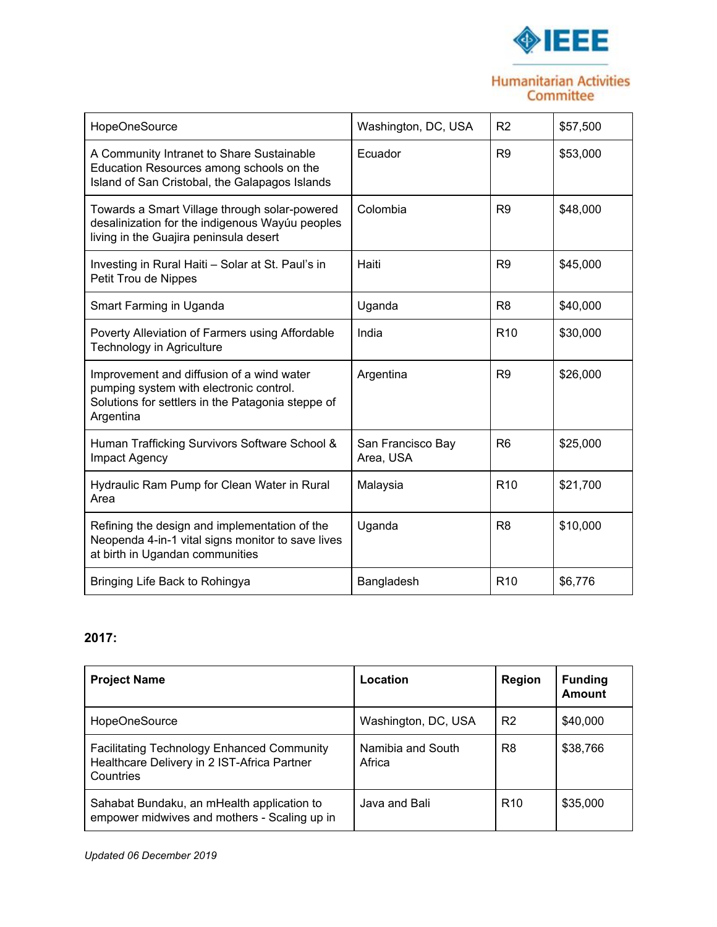

### **Humanitarian Activities** Committee

| <b>HopeOneSource</b>                                                                                                                                   | Washington, DC, USA            | R <sub>2</sub>  | \$57,500 |
|--------------------------------------------------------------------------------------------------------------------------------------------------------|--------------------------------|-----------------|----------|
| A Community Intranet to Share Sustainable<br>Education Resources among schools on the<br>Island of San Cristobal, the Galapagos Islands                | Ecuador                        | R <sub>9</sub>  | \$53,000 |
| Towards a Smart Village through solar-powered<br>desalinization for the indigenous Wayúu peoples<br>living in the Guajira peninsula desert             | Colombia                       | R <sub>9</sub>  | \$48,000 |
| Investing in Rural Haiti - Solar at St. Paul's in<br>Petit Trou de Nippes                                                                              | Haiti                          | R <sub>9</sub>  | \$45,000 |
| Smart Farming in Uganda                                                                                                                                | Uganda                         | R <sub>8</sub>  | \$40,000 |
| Poverty Alleviation of Farmers using Affordable<br>Technology in Agriculture                                                                           | India                          | R <sub>10</sub> | \$30,000 |
| Improvement and diffusion of a wind water<br>pumping system with electronic control.<br>Solutions for settlers in the Patagonia steppe of<br>Argentina | Argentina                      | R <sub>9</sub>  | \$26,000 |
| Human Trafficking Survivors Software School &<br>Impact Agency                                                                                         | San Francisco Bay<br>Area, USA | R <sub>6</sub>  | \$25,000 |
| Hydraulic Ram Pump for Clean Water in Rural<br>Area                                                                                                    | Malaysia                       | R <sub>10</sub> | \$21,700 |
| Refining the design and implementation of the<br>Neopenda 4-in-1 vital signs monitor to save lives<br>at birth in Ugandan communities                  | Uganda                         | R <sub>8</sub>  | \$10,000 |
| Bringing Life Back to Rohingya                                                                                                                         | Bangladesh                     | R <sub>10</sub> | \$6,776  |

### **2017:**

| <b>Project Name</b>                                                                                           | Location                    | <b>Region</b>   | <b>Funding</b><br><b>Amount</b> |
|---------------------------------------------------------------------------------------------------------------|-----------------------------|-----------------|---------------------------------|
| <b>HopeOneSource</b>                                                                                          | Washington, DC, USA         | R <sub>2</sub>  | \$40,000                        |
| <b>Facilitating Technology Enhanced Community</b><br>Healthcare Delivery in 2 IST-Africa Partner<br>Countries | Namibia and South<br>Africa | R <sub>8</sub>  | \$38,766                        |
| Sahabat Bundaku, an mHealth application to<br>empower midwives and mothers - Scaling up in                    | Java and Bali               | R <sub>10</sub> | \$35,000                        |